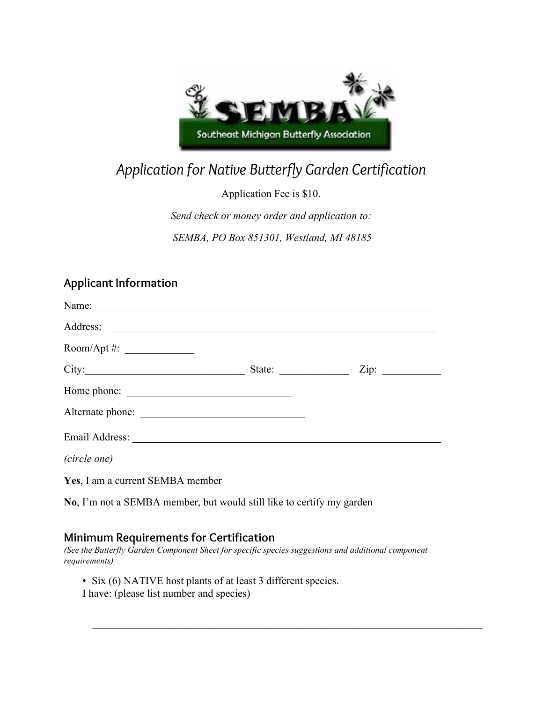

## *Application for Native Butterfly Garden Certification*

Application Fee is \$10.

*Send check or money order and application to: SEMBA, PO Box 851301, Westland, MI 48185*

## **Applicant Information**

| Address:                         |                                           |
|----------------------------------|-------------------------------------------|
| Room/Apt #: $\frac{1}{2}$        |                                           |
|                                  | State: $\qquad \qquad \qquad \text{Zip:}$ |
|                                  |                                           |
|                                  |                                           |
|                                  |                                           |
| (circle one)                     |                                           |
| Yes, I am a current SEMBA member |                                           |

**No**, I'm not a SEMBA member, but would still like to certify my garden

## **Minimum Requirements for Certification**

*(See the Butterfly Garden Component Sheet for specific species suggestions and additional component requirements)*

 $\mathcal{L}_\text{max}$  , and the contract of the contract of the contract of the contract of the contract of the contract of the contract of the contract of the contract of the contract of the contract of the contract of the contr

- Six (6) NATIVE host plants of at least 3 different species.
- I have: (please list number and species)